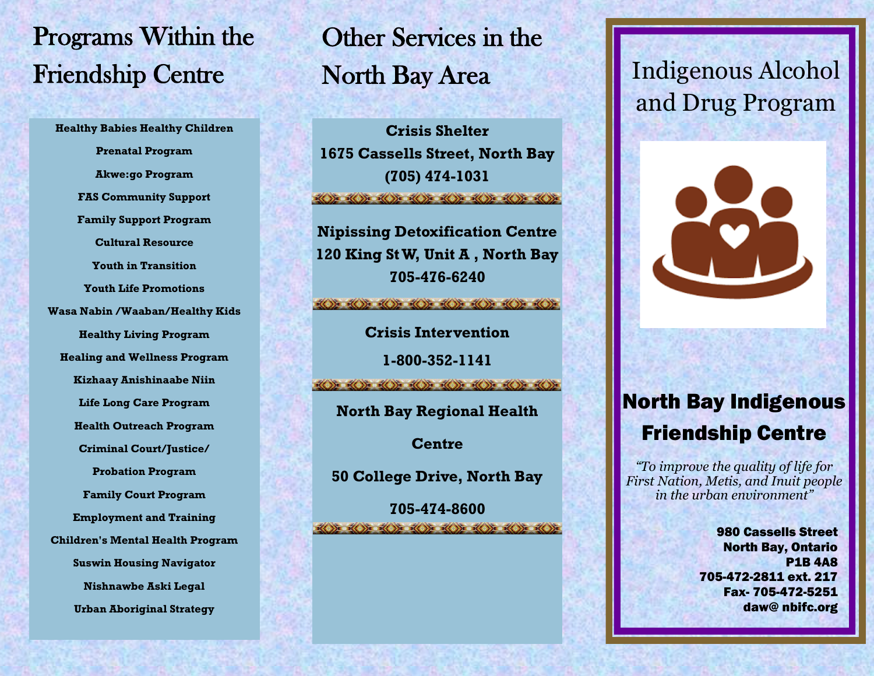## Programs Within the Friendship Centre

**Healthy Babies Healthy Children Prenatal Program Akwe:go Program FAS Community Support Family Support Program Cultural Resource Youth in Transition Youth Life Promotions Wasa Nabin /Waaban/Healthy Kids Healthy Living Program Healing and Wellness Program Kizhaay Anishinaabe Niin Life Long Care Program Health Outreach Program Criminal Court/Justice/ Probation Program Family Court Program Employment and Training Children's Mental Health Program Suswin Housing Navigator Nishnawbe Aski Legal Urban Aboriginal Strategy**

# Other Services in the North Bay Area

**Crisis Shelter 1675 Cassells Street, North Bay (705) 474-1031** 

**Nipissing Detoxification Centre 120 King St W, Unit A , North Bay 705-476-6240**

 $\frac{1}{2}$ 

**Crisis Intervention**

**1-800-352-1141**

 $\left(\frac{1}{2}\right)$  of  $\left(\frac{1}{2}\right)$  of  $\left(\frac{1}{2}\right)$  of  $\left(\frac{1}{2}\right)$  of  $\left(\frac{1}{2}\right)$ 

**North Bay Regional Health** 

**Centre**

**50 College Drive, North Bay** 

**705-474-8600**  $\langle \langle \rangle \rangle$   $\langle \langle \rangle \rangle$   $\langle \langle \rangle \rangle$   $\langle \langle \rangle \rangle$ 

### Indigenous Alcohol and Drug Program



#### North Bay Indigenous Friendship Centre

*"To improve the quality of life for First Nation, Metis, and Inuit people in the urban environment"*

> 980 Cassells Street North Bay, Ontario P1B 4A8 705-472-2811 ext. 217 Fax- 705-472-5251 daw@ nbifc.org